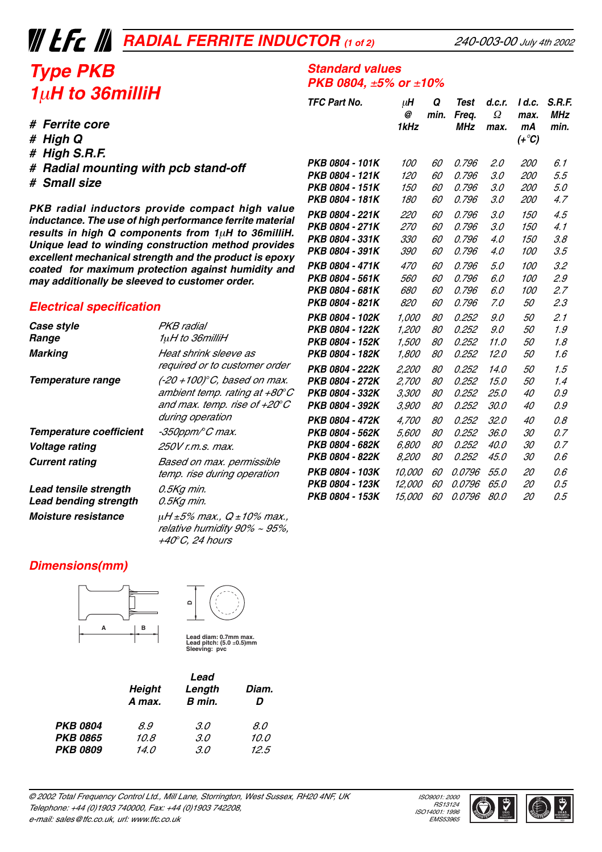# *WEE AN RADIAL FERRITE INDUCTOR (1 of 2)*

## *Type PKB 1*µ*H to 36milliH*

#### *# Ferrite core*

- *# High Q*
- *# High S.R.F.*
- *# Radial mounting with pcb stand-off*
- *# Small size*

*PKB radial inductors provide compact high value inductance. The use of high performance ferrite material results in high Q components from 1*µ*H to 36milliH. Unique lead to winding construction method provides excellent mechanical strength and the product is epoxy coated for maximum protection against humidity and may additionally be sleeved to customer order.*

## *Electrical specification*

| Case style                                            | PKB radial                                                                                                                     |
|-------------------------------------------------------|--------------------------------------------------------------------------------------------------------------------------------|
| Range                                                 | 1µH to 36milliH                                                                                                                |
| Marking                                               | Heat shrink sleeve as<br>required or to customer order                                                                         |
| Temperature range                                     | $(-20 + 100)$ °C, based on max.<br>ambient temp. rating at +80°C<br>and max. temp. rise of $+20^{\circ}$ C<br>during operation |
| Temperature coefficient                               | -350ppm/°C max.                                                                                                                |
| Voltage rating                                        | 250V r.m.s. max.                                                                                                               |
| <b>Current rating</b>                                 | Based on max. permissible<br>temp. rise during operation                                                                       |
| Lead tensile strength<br><b>Lead bending strength</b> | 0.5Kg min.<br>0.5Kg min.                                                                                                       |
| <i><b>Moisture resistance</b></i>                     | $\mu$ H ±5% max., Q ± 10% max.,<br>relative humidity 90% ~ 95%,<br>+40°C, 24 hours                                             |

| TFC Part No.           | μH<br>@<br>1kHz | Q<br>min. | Test<br>Freq.<br>MHz | d.c.r.<br>Ω<br>max. | l d.c.<br>max.<br>mА<br>$(+^\circ C)$ | S.R.F.<br><b>MHz</b><br>min. |
|------------------------|-----------------|-----------|----------------------|---------------------|---------------------------------------|------------------------------|
| PKB 0804 - 101K        | <i>100</i>      | 60        | 0.796                | 2.0                 | <i>200</i>                            | 6.1                          |
| PKB 0804 - 121K        | 120             | 60        | 0.796                | 3.0                 | <i>200</i>                            | 5.5                          |
| PKB 0804 - 151K        | 150             | 60        | 0.796                | 3.0                 | <i>200</i>                            | 5.0                          |
| PKB 0804 - 181K        | 180             | 60        | 0.796                | 3.0                 | <i>200</i>                            | 4.7                          |
| PKB 0804 - 221K        | 220             | 60        | 0.796                | 3.0                 | 150                                   | 4.5                          |
| PKB 0804 - 271K        | <i>270</i>      | 60        | 0.796                | 3.0                 | 150                                   | 4.1                          |
| PKB 0804 - 331K        | 330             | 60        | 0.796                | 4.0                 | 150                                   | 3.8                          |
| PKB 0804 - 391K        | 390             | 60        | 0.796                | 4.0                 | <i>100</i>                            | 3.5                          |
| PKB 0804 - 471K        | <i>470</i>      | 60        | 0.796                | 5.0                 | <i>100</i>                            | 3.2                          |
| PKB 0804 - 561K        | 560             | 60        | 0.796                | 6.0                 | 100                                   | 2.9                          |
| PKB 0804 - 681K        | 680             | 60        | 0.796                | 6.0                 | 100                                   | 2.7                          |
| PKB 0804 - 821K        | 820             | 60        | 0.796                | 7.0                 | 50                                    | 2.3                          |
| <b>PKB 0804 - 102K</b> | 1,000           | 80        | 0.252                | 9.0                 | 50                                    | 2.1                          |
| PKB 0804 - 122K        | 1,200           | 80        | 0.252                | 9.0                 | 50                                    | 1.9                          |
| <b>PKB 0804 - 152K</b> | 1,500           | 80        | 0.252                | 11.0                | 50                                    | 1.8                          |
| <b>PKB 0804 - 182K</b> | 1,800           | 80        | 0.252                | 12.0                | 50                                    | 1.6                          |
| PKB 0804 - 222K        | 2,200           | 80        | 0.252                | 14.0                | 50                                    | 1.5                          |
| <b>PKB 0804 - 272K</b> | 2,700           | 80        | 0.252                | 15.0                | 50                                    | 1.4                          |
| <b>PKB 0804 - 332K</b> | 3,300           | 80        | 0.252                | 25.0                | 40                                    | 0.9                          |
| <b>PKB 0804 - 392K</b> | 3,900           | 80        | 0.252                | 30.0                | 40                                    | 0.9                          |
| PKB 0804 - 472K        | 4,700           | 80        | 0.252                | 32.0                | 40                                    | 0.8                          |
| PKB 0804 - 562K        | 5,600           | 80        | 0.252                | 36.O                | 30                                    | 0.7                          |
| PKB 0804 - 682K        | 6,800           | 80        | 0.252                | 40.0                | 30                                    | 0.7                          |
| <b>PKB 0804 - 822K</b> | 8,200           | 80        | 0.252                | 45.O                | 30                                    | 0.6                          |
| PKB 0804 - 103K        | 10,000          | 60        | 0.0796               | <i>55.0</i>         | 20                                    | 0.6                          |
| <b>PKB 0804 - 123K</b> | <i>12,000</i>   | 60        | 0.0796               | 65.O                | 20                                    | 0.5                          |
| <b>PKB 0804 - 153K</b> | <i>15,000</i>   | 60        | 0.0796               | 80.0                | 20                                    | 0.5                          |
|                        |                 |           |                      |                     |                                       |                              |

*Standard values*

*PKB 0804,* ±*5% or* ±*10%*

## *Dimensions(mm)*



*D*

*Lead diam: 0.7mm max. Lead pitch: (5.0* ±*0.5)mm Sleeving: pvc*

|                 | <b>Height</b><br>A max. | Lead<br>Length<br>B min. | Diam.<br>D |  |  |
|-----------------|-------------------------|--------------------------|------------|--|--|
| <b>PKB 0804</b> | 8.9                     | 3.0                      | 8.0        |  |  |
| <b>PKB 0865</b> | 10.8                    | 3.0                      | 10.0       |  |  |
| <b>PKB 0809</b> | 14.0                    | 3.0                      | 12.5       |  |  |